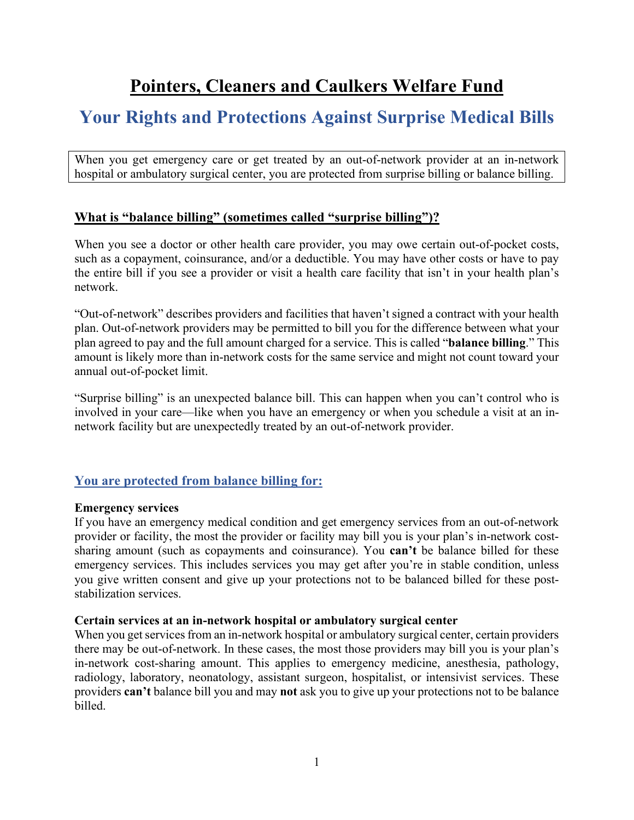# **Pointers, Cleaners and Caulkers Welfare Fund**

## **Your Rights and Protections Against Surprise Medical Bills**

When you get emergency care or get treated by an out-of-network provider at an in-network hospital or ambulatory surgical center, you are protected from surprise billing or balance billing.

#### **What is "balance billing" (sometimes called "surprise billing")?**

When you see a doctor or other health care provider, you may owe certain out-of-pocket costs, such as a copayment, coinsurance, and/or a deductible. You may have other costs or have to pay the entire bill if you see a provider or visit a health care facility that isn't in your health plan's network.

"Out-of-network" describes providers and facilities that haven't signed a contract with your health plan. Out-of-network providers may be permitted to bill you for the difference between what your plan agreed to pay and the full amount charged for a service. This is called "**balance billing**." This amount is likely more than in-network costs for the same service and might not count toward your annual out-of-pocket limit.

"Surprise billing" is an unexpected balance bill. This can happen when you can't control who is involved in your care—like when you have an emergency or when you schedule a visit at an innetwork facility but are unexpectedly treated by an out-of-network provider.

### **You are protected from balance billing for:**

#### **Emergency services**

If you have an emergency medical condition and get emergency services from an out-of-network provider or facility, the most the provider or facility may bill you is your plan's in-network costsharing amount (such as copayments and coinsurance). You **can't** be balance billed for these emergency services. This includes services you may get after you're in stable condition, unless you give written consent and give up your protections not to be balanced billed for these poststabilization services.

#### **Certain services at an in-network hospital or ambulatory surgical center**

When you get services from an in-network hospital or ambulatory surgical center, certain providers there may be out-of-network. In these cases, the most those providers may bill you is your plan's in-network cost-sharing amount. This applies to emergency medicine, anesthesia, pathology, radiology, laboratory, neonatology, assistant surgeon, hospitalist, or intensivist services. These providers **can't** balance bill you and may **not** ask you to give up your protections not to be balance billed.